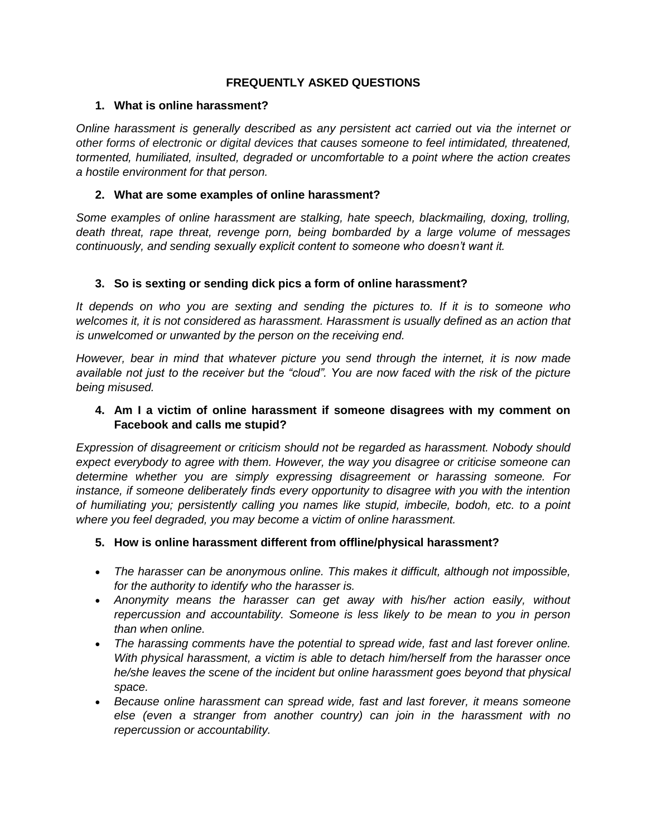### **FREQUENTLY ASKED QUESTIONS**

#### **1. What is online harassment?**

*Online harassment is generally described as any persistent act carried out via the internet or other forms of electronic or digital devices that causes someone to feel intimidated, threatened, tormented, humiliated, insulted, degraded or uncomfortable to a point where the action creates a hostile environment for that person.*

## **2. What are some examples of online harassment?**

*Some examples of online harassment are stalking, hate speech, blackmailing, doxing, trolling, death threat, rape threat, revenge porn, being bombarded by a large volume of messages continuously, and sending sexually explicit content to someone who doesn't want it.*

## **3. So is sexting or sending dick pics a form of online harassment?**

*It depends on who you are sexting and sending the pictures to. If it is to someone who welcomes it, it is not considered as harassment. Harassment is usually defined as an action that is unwelcomed or unwanted by the person on the receiving end.* 

*However, bear in mind that whatever picture you send through the internet, it is now made available not just to the receiver but the "cloud". You are now faced with the risk of the picture being misused.* 

## **4. Am I a victim of online harassment if someone disagrees with my comment on Facebook and calls me stupid?**

*Expression of disagreement or criticism should not be regarded as harassment. Nobody should expect everybody to agree with them. However, the way you disagree or criticise someone can determine whether you are simply expressing disagreement or harassing someone. For instance, if someone deliberately finds every opportunity to disagree with you with the intention of humiliating you; persistently calling you names like stupid, imbecile, bodoh, etc. to a point where you feel degraded, you may become a victim of online harassment.* 

# **5. How is online harassment different from offline/physical harassment?**

- *The harasser can be anonymous online. This makes it difficult, although not impossible, for the authority to identify who the harasser is.*
- *Anonymity means the harasser can get away with his/her action easily, without repercussion and accountability. Someone is less likely to be mean to you in person than when online.*
- *The harassing comments have the potential to spread wide, fast and last forever online. With physical harassment, a victim is able to detach him/herself from the harasser once he/she leaves the scene of the incident but online harassment goes beyond that physical space.*
- *Because online harassment can spread wide, fast and last forever, it means someone else (even a stranger from another country) can join in the harassment with no repercussion or accountability.*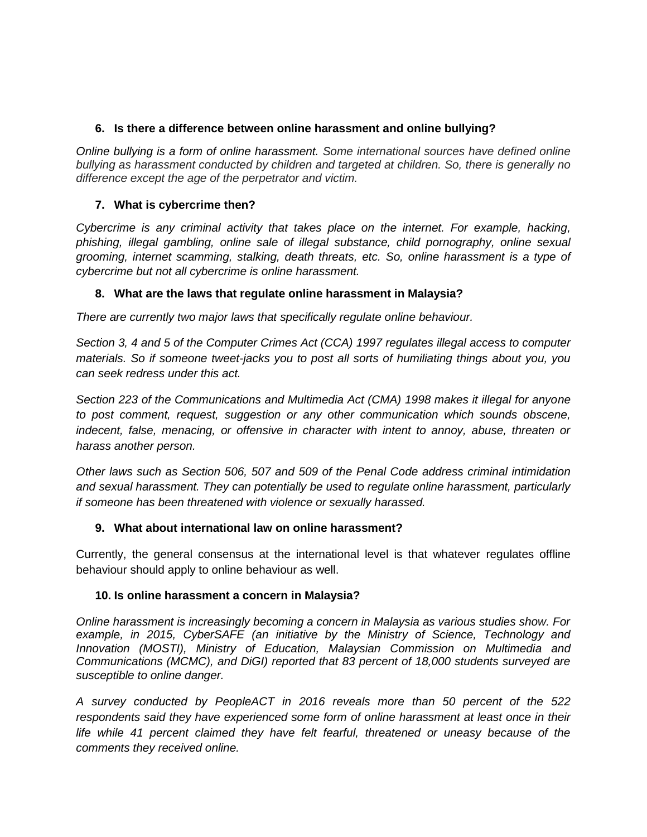## **6. Is there a difference between online harassment and online bullying?**

*Online bullying is a form of online harassment. Some international sources have defined online bullying as harassment conducted by children and targeted at children. So, there is generally no difference except the age of the perpetrator and victim.* 

## **7. What is cybercrime then?**

*Cybercrime is any criminal activity that takes place on the internet. For example, hacking, phishing, illegal gambling, online sale of illegal substance, child pornography, online sexual grooming, internet scamming, stalking, death threats, etc. So, online harassment is a type of cybercrime but not all cybercrime is online harassment.* 

## **8. What are the laws that regulate online harassment in Malaysia?**

*There are currently two major laws that specifically regulate online behaviour.* 

*Section 3, 4 and 5 of the Computer Crimes Act (CCA) 1997 regulates illegal access to computer materials. So if someone tweet-jacks you to post all sorts of humiliating things about you, you can seek redress under this act.* 

*Section 223 of the Communications and Multimedia Act (CMA) 1998 makes it illegal for anyone to post comment, request, suggestion or any other communication which sounds obscene, indecent, false, menacing, or offensive in character with intent to annoy, abuse, threaten or harass another person.*

*Other laws such as Section 506, 507 and 509 of the Penal Code address criminal intimidation and sexual harassment. They can potentially be used to regulate online harassment, particularly if someone has been threatened with violence or sexually harassed.* 

#### **9. What about international law on online harassment?**

Currently, the general consensus at the international level is that whatever regulates offline behaviour should apply to online behaviour as well.

# **10. Is online harassment a concern in Malaysia?**

*Online harassment is increasingly becoming a concern in Malaysia as various studies show. For example, in 2015, CyberSAFE (an initiative by the Ministry of Science, Technology and Innovation (MOSTI), Ministry of Education, Malaysian Commission on Multimedia and Communications (MCMC), and DiGI) reported that 83 percent of 18,000 students surveyed are susceptible to online danger.*

*A survey conducted by PeopleACT in 2016 reveals more than 50 percent of the 522 respondents said they have experienced some form of online harassment at least once in their life while 41 percent claimed they have felt fearful, threatened or uneasy because of the comments they received online.*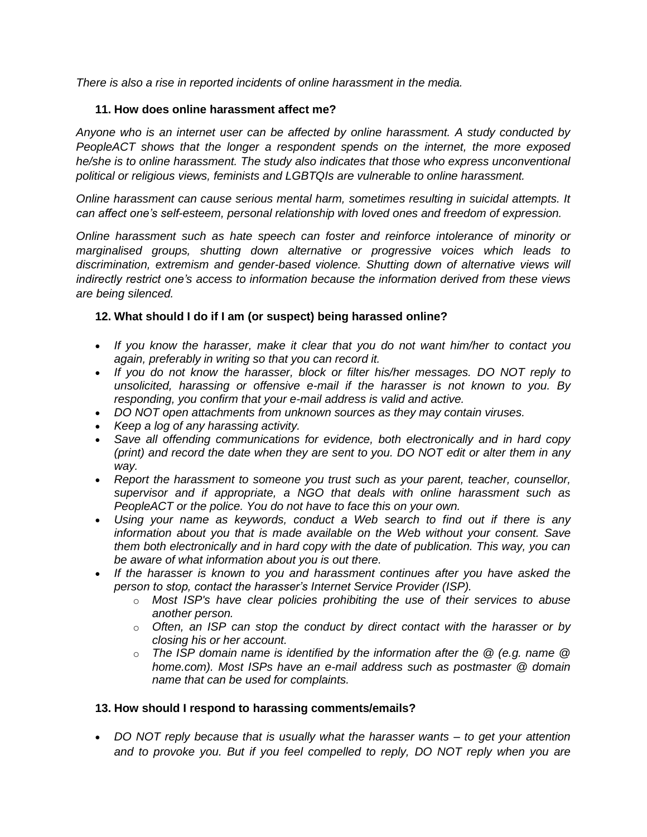*There is also a rise in reported incidents of online harassment in the media.* 

### **11. How does online harassment affect me?**

*Anyone who is an internet user can be affected by online harassment. A study conducted by PeopleACT shows that the longer a respondent spends on the internet, the more exposed he/she is to online harassment. The study also indicates that those who express unconventional political or religious views, feminists and LGBTQIs are vulnerable to online harassment.* 

*Online harassment can cause serious mental harm, sometimes resulting in suicidal attempts. It can affect one's self-esteem, personal relationship with loved ones and freedom of expression.* 

*Online harassment such as hate speech can foster and reinforce intolerance of minority or marginalised groups, shutting down alternative or progressive voices which leads to discrimination, extremism and gender-based violence. Shutting down of alternative views will indirectly restrict one's access to information because the information derived from these views are being silenced.* 

## **12. What should I do if I am (or suspect) being harassed online?**

- *If you know the harasser, make it clear that you do not want him/her to contact you again, preferably in writing so that you can record it.*
- *If you do not know the harasser, block or filter his/her messages. DO NOT reply to unsolicited, harassing or offensive e-mail if the harasser is not known to you. By responding, you confirm that your e-mail address is valid and active.*
- *DO NOT open attachments from unknown sources as they may contain viruses.*
- *Keep a log of any harassing activity.*
- *Save all offending communications for evidence, both electronically and in hard copy (print) and record the date when they are sent to you. DO NOT edit or alter them in any way.*
- *Report the harassment to someone you trust such as your parent, teacher, counsellor, supervisor and if appropriate, a NGO that deals with online harassment such as PeopleACT or the police. You do not have to face this on your own.*
- *Using your name as keywords, conduct a Web search to find out if there is any information about you that is made available on the Web without your consent. Save them both electronically and in hard copy with the date of publication. This way, you can be aware of what information about you is out there.*
- *If the harasser is known to you and harassment continues after you have asked the person to stop, contact the harasser's Internet Service Provider (ISP).*
	- o *Most ISP's have clear policies prohibiting the use of their services to abuse another person.*
	- o *Often, an ISP can stop the conduct by direct contact with the harasser or by closing his or her account.*
	- o *The ISP domain name is identified by the information after the @ (e.g. name @ home.com). Most ISPs have an e-mail address such as postmaster @ domain name that can be used for complaints.*

#### **13. How should I respond to harassing comments/emails?**

 *DO NOT reply because that is usually what the harasser wants – to get your attention and to provoke you. But if you feel compelled to reply, DO NOT reply when you are*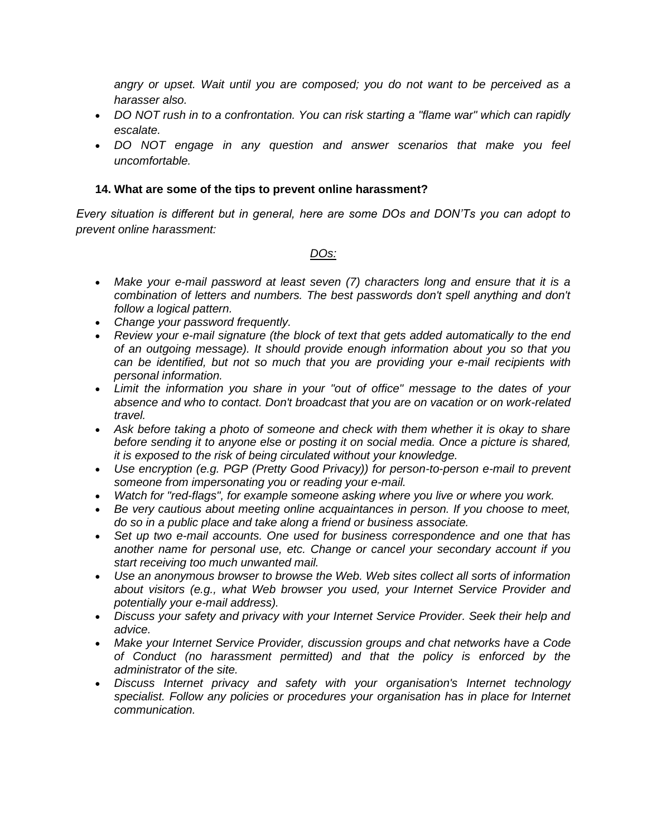angry or upset. Wait until you are composed; you do not want to be perceived as a *harasser also.*

- *DO NOT rush in to a confrontation. You can risk starting a "flame war" which can rapidly escalate.*
- *DO NOT engage in any question and answer scenarios that make you feel uncomfortable.*

#### **14. What are some of the tips to prevent online harassment?**

*Every situation is different but in general, here are some DOs and DON'Ts you can adopt to prevent online harassment:*

#### *DOs:*

- *Make your e-mail password at least seven (7) characters long and ensure that it is a combination of letters and numbers. The best passwords don't spell anything and don't follow a logical pattern.*
- *Change your password frequently.*
- *Review your e-mail signature (the block of text that gets added automatically to the end of an outgoing message). It should provide enough information about you so that you can be identified, but not so much that you are providing your e-mail recipients with personal information.*
- *Limit the information you share in your "out of office" message to the dates of your absence and who to contact. Don't broadcast that you are on vacation or on work-related travel.*
- Ask before taking a photo of someone and check with them whether it is okay to share *before sending it to anyone else or posting it on social media. Once a picture is shared, it is exposed to the risk of being circulated without your knowledge.*
- *Use encryption (e.g. PGP (Pretty Good Privacy)) for person-to-person e-mail to prevent someone from impersonating you or reading your e-mail.*
- *Watch for "red-flags", for example someone asking where you live or where you work.*
- *Be very cautious about meeting online acquaintances in person. If you choose to meet, do so in a public place and take along a friend or business associate.*
- *Set up two e-mail accounts. One used for business correspondence and one that has another name for personal use, etc. Change or cancel your secondary account if you start receiving too much unwanted mail.*
- *Use an anonymous browser to browse the Web. Web sites collect all sorts of information about visitors (e.g., what Web browser you used, your Internet Service Provider and potentially your e-mail address).*
- *Discuss your safety and privacy with your Internet Service Provider. Seek their help and advice.*
- *Make your Internet Service Provider, discussion groups and chat networks have a Code of Conduct (no harassment permitted) and that the policy is enforced by the administrator of the site.*
- *Discuss Internet privacy and safety with your organisation's Internet technology specialist. Follow any policies or procedures your organisation has in place for Internet communication.*